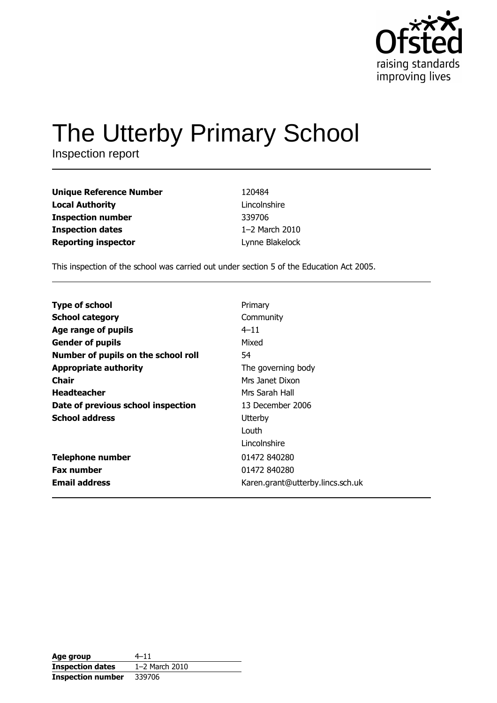

# The Utterby Primary School

Inspection report

| <b>Unique Reference Number</b> | 120484          |
|--------------------------------|-----------------|
| <b>Local Authority</b>         | Lincolnshire    |
| <b>Inspection number</b>       | 339706          |
| <b>Inspection dates</b>        | 1-2 March 2010  |
| <b>Reporting inspector</b>     | Lynne Blakelock |

This inspection of the school was carried out under section 5 of the Education Act 2005.

| <b>Type of school</b>               | Primary                          |
|-------------------------------------|----------------------------------|
| <b>School category</b>              | Community                        |
| Age range of pupils                 | $4 - 11$                         |
| <b>Gender of pupils</b>             | Mixed                            |
| Number of pupils on the school roll | 54                               |
| <b>Appropriate authority</b>        | The governing body               |
| <b>Chair</b>                        | Mrs Janet Dixon                  |
| <b>Headteacher</b>                  | Mrs Sarah Hall                   |
| Date of previous school inspection  | 13 December 2006                 |
| <b>School address</b>               | Utterby                          |
|                                     | Louth                            |
|                                     | Lincolnshire                     |
| <b>Telephone number</b>             | 01472 840280                     |
| <b>Fax number</b>                   | 01472 840280                     |
| <b>Email address</b>                | Karen.grant@utterby.lincs.sch.uk |

| Age group                | $4 - 11$       |
|--------------------------|----------------|
| <b>Inspection dates</b>  | 1-2 March 2010 |
| <b>Inspection number</b> | 339706         |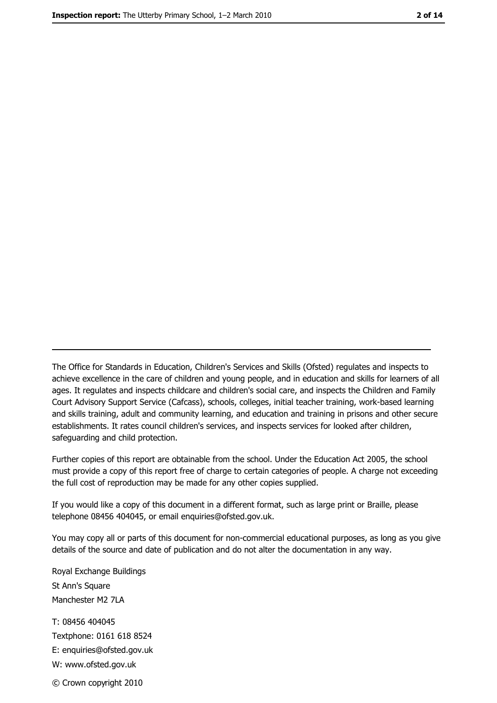The Office for Standards in Education, Children's Services and Skills (Ofsted) regulates and inspects to achieve excellence in the care of children and young people, and in education and skills for learners of all ages. It regulates and inspects childcare and children's social care, and inspects the Children and Family Court Advisory Support Service (Cafcass), schools, colleges, initial teacher training, work-based learning and skills training, adult and community learning, and education and training in prisons and other secure establishments. It rates council children's services, and inspects services for looked after children, safequarding and child protection.

Further copies of this report are obtainable from the school. Under the Education Act 2005, the school must provide a copy of this report free of charge to certain categories of people. A charge not exceeding the full cost of reproduction may be made for any other copies supplied.

If you would like a copy of this document in a different format, such as large print or Braille, please telephone 08456 404045, or email enquiries@ofsted.gov.uk.

You may copy all or parts of this document for non-commercial educational purposes, as long as you give details of the source and date of publication and do not alter the documentation in any way.

Royal Exchange Buildings St Ann's Square Manchester M2 7LA T: 08456 404045 Textphone: 0161 618 8524 E: enquiries@ofsted.gov.uk W: www.ofsted.gov.uk © Crown copyright 2010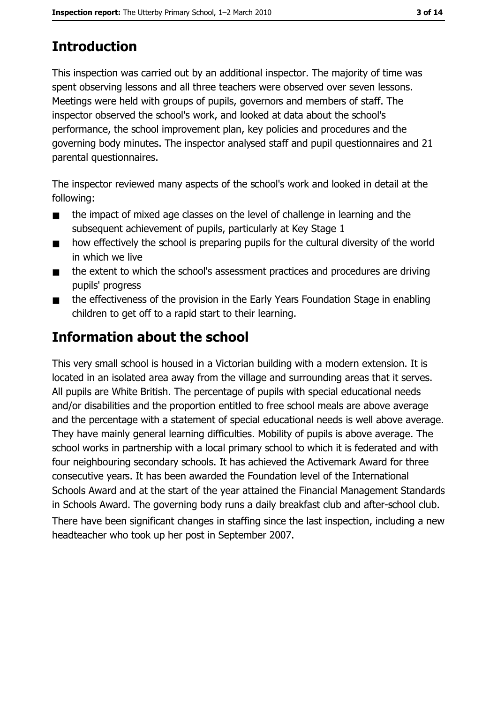## **Introduction**

This inspection was carried out by an additional inspector. The majority of time was spent observing lessons and all three teachers were observed over seven lessons. Meetings were held with groups of pupils, governors and members of staff. The inspector observed the school's work, and looked at data about the school's performance, the school improvement plan, key policies and procedures and the governing body minutes. The inspector analysed staff and pupil guestionnaires and 21 parental questionnaires.

The inspector reviewed many aspects of the school's work and looked in detail at the following:

- the impact of mixed age classes on the level of challenge in learning and the  $\blacksquare$ subsequent achievement of pupils, particularly at Key Stage 1
- how effectively the school is preparing pupils for the cultural diversity of the world  $\blacksquare$ in which we live
- the extent to which the school's assessment practices and procedures are driving  $\blacksquare$ pupils' progress
- the effectiveness of the provision in the Early Years Foundation Stage in enabling  $\blacksquare$ children to get off to a rapid start to their learning.

### **Information about the school**

This very small school is housed in a Victorian building with a modern extension. It is located in an isolated area away from the village and surrounding areas that it serves. All pupils are White British. The percentage of pupils with special educational needs and/or disabilities and the proportion entitled to free school meals are above average and the percentage with a statement of special educational needs is well above average. They have mainly general learning difficulties. Mobility of pupils is above average. The school works in partnership with a local primary school to which it is federated and with four neighbouring secondary schools. It has achieved the Activemark Award for three consecutive years. It has been awarded the Foundation level of the International Schools Award and at the start of the year attained the Financial Management Standards in Schools Award. The governing body runs a daily breakfast club and after-school club. There have been significant changes in staffing since the last inspection, including a new headteacher who took up her post in September 2007.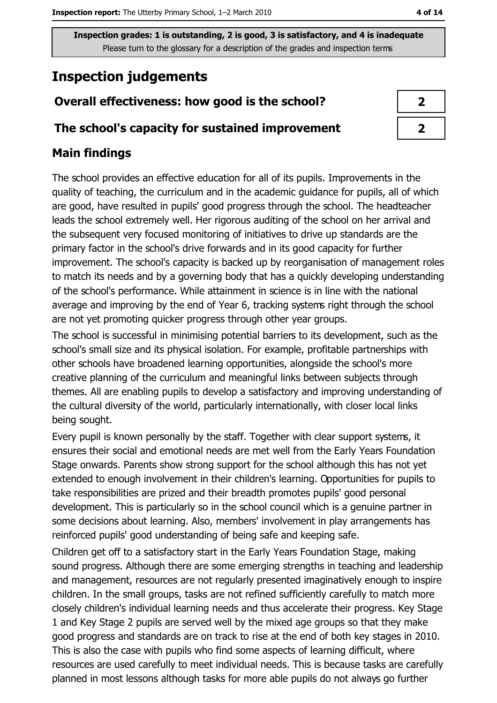### **Inspection judgements**

### Overall effectiveness: how good is the school?

#### The school's capacity for sustained improvement

#### **Main findings**

The school provides an effective education for all of its pupils. Improvements in the quality of teaching, the curriculum and in the academic guidance for pupils, all of which are good, have resulted in pupils' good progress through the school. The headteacher leads the school extremely well. Her rigorous auditing of the school on her arrival and the subsequent very focused monitoring of initiatives to drive up standards are the primary factor in the school's drive forwards and in its good capacity for further improvement. The school's capacity is backed up by reorganisation of management roles to match its needs and by a governing body that has a quickly developing understanding of the school's performance. While attainment in science is in line with the national average and improving by the end of Year 6, tracking systems right through the school are not yet promoting quicker progress through other year groups.

The school is successful in minimising potential barriers to its development, such as the school's small size and its physical isolation. For example, profitable partnerships with other schools have broadened learning opportunities, alongside the school's more creative planning of the curriculum and meaningful links between subjects through themes. All are enabling pupils to develop a satisfactory and improving understanding of the cultural diversity of the world, particularly internationally, with closer local links being sought.

Every pupil is known personally by the staff. Together with clear support systems, it ensures their social and emotional needs are met well from the Early Years Foundation Stage onwards. Parents show strong support for the school although this has not yet extended to enough involvement in their children's learning. Opportunities for pupils to take responsibilities are prized and their breadth promotes pupils' good personal development. This is particularly so in the school council which is a genuine partner in some decisions about learning. Also, members' involvement in play arrangements has reinforced pupils' good understanding of being safe and keeping safe.

Children get off to a satisfactory start in the Early Years Foundation Stage, making sound progress. Although there are some emerging strengths in teaching and leadership and management, resources are not regularly presented imaginatively enough to inspire children. In the small groups, tasks are not refined sufficiently carefully to match more closely children's individual learning needs and thus accelerate their progress. Key Stage 1 and Key Stage 2 pupils are served well by the mixed age groups so that they make good progress and standards are on track to rise at the end of both key stages in 2010. This is also the case with pupils who find some aspects of learning difficult, where resources are used carefully to meet individual needs. This is because tasks are carefully planned in most lessons although tasks for more able pupils do not always go further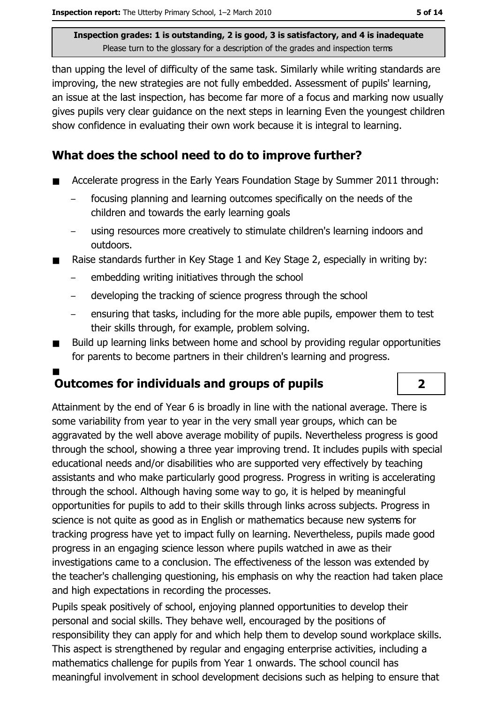than upping the level of difficulty of the same task. Similarly while writing standards are improving, the new strategies are not fully embedded. Assessment of pupils' learning, an issue at the last inspection, has become far more of a focus and marking now usually gives pupils very clear guidance on the next steps in learning Even the youngest children show confidence in evaluating their own work because it is integral to learning.

### What does the school need to do to improve further?

- Accelerate progress in the Early Years Foundation Stage by Summer 2011 through:
	- focusing planning and learning outcomes specifically on the needs of the children and towards the early learning goals
	- using resources more creatively to stimulate children's learning indoors and outdoors.
- Raise standards further in Key Stage 1 and Key Stage 2, especially in writing by:
	- embedding writing initiatives through the school
	- developing the tracking of science progress through the school  $\equiv$
	- ensuring that tasks, including for the more able pupils, empower them to test their skills through, for example, problem solving.
- Build up learning links between home and school by providing regular opportunities  $\blacksquare$ for parents to become partners in their children's learning and progress.

### **Outcomes for individuals and groups of pupils**

Attainment by the end of Year 6 is broadly in line with the national average. There is some variability from year to year in the very small year groups, which can be agaravated by the well above average mobility of pupils. Nevertheless progress is good through the school, showing a three year improving trend. It includes pupils with special educational needs and/or disabilities who are supported very effectively by teaching assistants and who make particularly good progress. Progress in writing is accelerating through the school. Although having some way to go, it is helped by meaningful opportunities for pupils to add to their skills through links across subjects. Progress in science is not quite as good as in English or mathematics because new systems for tracking progress have yet to impact fully on learning. Nevertheless, pupils made good progress in an engaging science lesson where pupils watched in awe as their investigations came to a conclusion. The effectiveness of the lesson was extended by the teacher's challenging questioning, his emphasis on why the reaction had taken place and high expectations in recording the processes.

Pupils speak positively of school, enjoying planned opportunities to develop their personal and social skills. They behave well, encouraged by the positions of responsibility they can apply for and which help them to develop sound workplace skills. This aspect is strengthened by regular and engaging enterprise activities, including a mathematics challenge for pupils from Year 1 onwards. The school council has meaningful involvement in school development decisions such as helping to ensure that

 $\overline{\mathbf{2}}$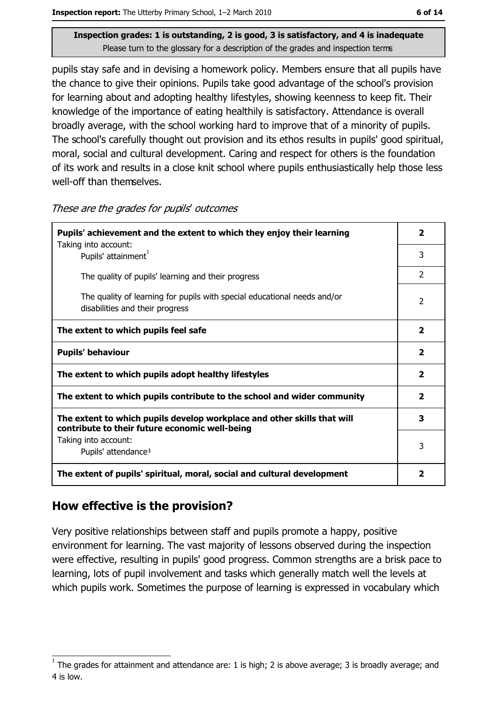pupils stay safe and in devising a homework policy. Members ensure that all pupils have the chance to give their opinions. Pupils take good advantage of the school's provision for learning about and adopting healthy lifestyles, showing keenness to keep fit. Their knowledge of the importance of eating healthily is satisfactory. Attendance is overall broadly average, with the school working hard to improve that of a minority of pupils. The school's carefully thought out provision and its ethos results in pupils' good spiritual, moral, social and cultural development. Caring and respect for others is the foundation of its work and results in a close knit school where pupils enthusiastically help those less well-off than themselves.

| Pupils' achievement and the extent to which they enjoy their learning                                                     |                         |  |
|---------------------------------------------------------------------------------------------------------------------------|-------------------------|--|
| Taking into account:<br>Pupils' attainment <sup>1</sup>                                                                   | 3                       |  |
| The quality of pupils' learning and their progress                                                                        | $\overline{2}$          |  |
| The quality of learning for pupils with special educational needs and/or<br>disabilities and their progress               | 2                       |  |
| The extent to which pupils feel safe                                                                                      | $\overline{\mathbf{2}}$ |  |
| <b>Pupils' behaviour</b>                                                                                                  | $\overline{\mathbf{2}}$ |  |
| The extent to which pupils adopt healthy lifestyles                                                                       | $\overline{\mathbf{2}}$ |  |
| The extent to which pupils contribute to the school and wider community                                                   | $\overline{\mathbf{2}}$ |  |
| The extent to which pupils develop workplace and other skills that will<br>contribute to their future economic well-being | 3                       |  |
| Taking into account:<br>Pupils' attendance <sup>1</sup>                                                                   | 3                       |  |
| The extent of pupils' spiritual, moral, social and cultural development                                                   | $\overline{\mathbf{2}}$ |  |

These are the grades for pupils' outcomes

### How effective is the provision?

Very positive relationships between staff and pupils promote a happy, positive environment for learning. The vast majority of lessons observed during the inspection were effective, resulting in pupils' good progress. Common strengths are a brisk pace to learning, lots of pupil involvement and tasks which generally match well the levels at which pupils work. Sometimes the purpose of learning is expressed in vocabulary which

The grades for attainment and attendance are: 1 is high; 2 is above average; 3 is broadly average; and 4 is low.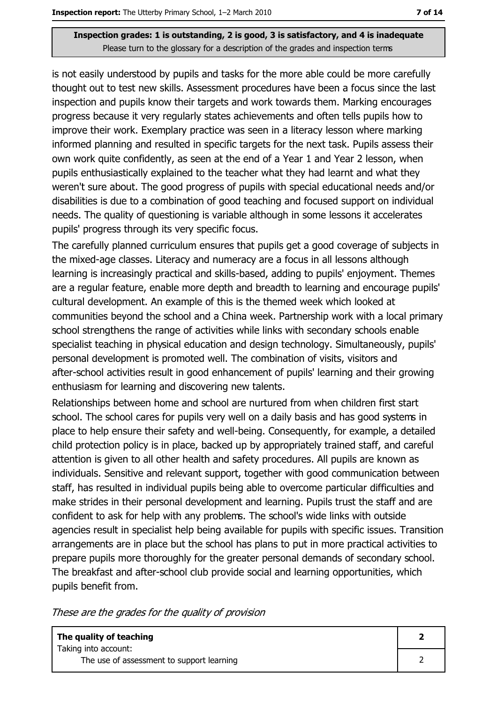is not easily understood by pupils and tasks for the more able could be more carefully thought out to test new skills. Assessment procedures have been a focus since the last inspection and pupils know their targets and work towards them. Marking encourages progress because it very regularly states achievements and often tells pupils how to improve their work. Exemplary practice was seen in a literacy lesson where marking informed planning and resulted in specific targets for the next task. Pupils assess their own work quite confidently, as seen at the end of a Year 1 and Year 2 lesson, when pupils enthusiastically explained to the teacher what they had learnt and what they weren't sure about. The good progress of pupils with special educational needs and/or disabilities is due to a combination of good teaching and focused support on individual needs. The quality of questioning is variable although in some lessons it accelerates pupils' progress through its very specific focus.

The carefully planned curriculum ensures that pupils get a good coverage of subjects in the mixed-age classes. Literacy and numeracy are a focus in all lessons although learning is increasingly practical and skills-based, adding to pupils' enjoyment. Themes are a regular feature, enable more depth and breadth to learning and encourage pupils' cultural development. An example of this is the themed week which looked at communities beyond the school and a China week. Partnership work with a local primary school strengthens the range of activities while links with secondary schools enable specialist teaching in physical education and design technology. Simultaneously, pupils' personal development is promoted well. The combination of visits, visitors and after-school activities result in good enhancement of pupils' learning and their growing enthusiasm for learning and discovering new talents.

Relationships between home and school are nurtured from when children first start school. The school cares for pupils very well on a daily basis and has good systems in place to help ensure their safety and well-being. Consequently, for example, a detailed child protection policy is in place, backed up by appropriately trained staff, and careful attention is given to all other health and safety procedures. All pupils are known as individuals. Sensitive and relevant support, together with good communication between staff, has resulted in individual pupils being able to overcome particular difficulties and make strides in their personal development and learning. Pupils trust the staff and are confident to ask for help with any problems. The school's wide links with outside agencies result in specialist help being available for pupils with specific issues. Transition arrangements are in place but the school has plans to put in more practical activities to prepare pupils more thoroughly for the greater personal demands of secondary school. The breakfast and after-school club provide social and learning opportunities, which pupils benefit from.

These are the grades for the quality of provision

| The quality of teaching                                           |  |
|-------------------------------------------------------------------|--|
| Taking into account:<br>The use of assessment to support learning |  |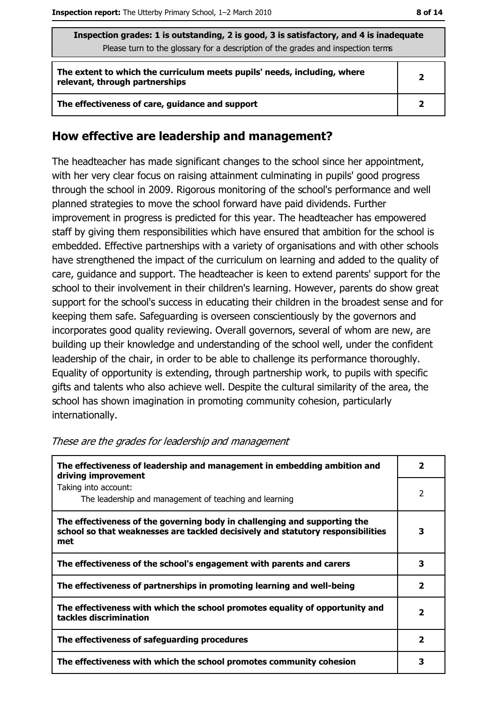| Inspection grades: 1 is outstanding, 2 is good, 3 is satisfactory, and 4 is inadequate<br>Please turn to the glossary for a description of the grades and inspection terms |                |  |
|----------------------------------------------------------------------------------------------------------------------------------------------------------------------------|----------------|--|
| The extent to which the curriculum meets pupils' needs, including, where<br>relevant, through partnerships                                                                 | $\overline{2}$ |  |
| The effectiveness of care, guidance and support                                                                                                                            | $\mathbf{2}$   |  |

#### How effective are leadership and management?

The headteacher has made significant changes to the school since her appointment, with her very clear focus on raising attainment culminating in pupils' good progress through the school in 2009. Rigorous monitoring of the school's performance and well planned strategies to move the school forward have paid dividends. Further improvement in progress is predicted for this year. The headteacher has empowered staff by giving them responsibilities which have ensured that ambition for the school is embedded. Effective partnerships with a variety of organisations and with other schools have strengthened the impact of the curriculum on learning and added to the quality of care, guidance and support. The headteacher is keen to extend parents' support for the school to their involvement in their children's learning. However, parents do show great support for the school's success in educating their children in the broadest sense and for keeping them safe. Safeguarding is overseen conscientiously by the governors and incorporates good quality reviewing. Overall governors, several of whom are new, are building up their knowledge and understanding of the school well, under the confident leadership of the chair, in order to be able to challenge its performance thoroughly. Equality of opportunity is extending, through partnership work, to pupils with specific gifts and talents who also achieve well. Despite the cultural similarity of the area, the school has shown imagination in promoting community cohesion, particularly internationally.

| The effectiveness of leadership and management in embedding ambition and<br>driving improvement                                                                     | $\mathbf{2}$             |
|---------------------------------------------------------------------------------------------------------------------------------------------------------------------|--------------------------|
| Taking into account:<br>The leadership and management of teaching and learning                                                                                      | 2                        |
| The effectiveness of the governing body in challenging and supporting the<br>school so that weaknesses are tackled decisively and statutory responsibilities<br>met | 3                        |
| The effectiveness of the school's engagement with parents and carers                                                                                                | 3                        |
| The effectiveness of partnerships in promoting learning and well-being                                                                                              | $\overline{\mathbf{2}}$  |
| The effectiveness with which the school promotes equality of opportunity and<br>tackles discrimination                                                              | 2                        |
| The effectiveness of safeguarding procedures                                                                                                                        | $\overline{\phantom{a}}$ |
| The effectiveness with which the school promotes community cohesion                                                                                                 | з                        |

#### These are the grades for leadership and management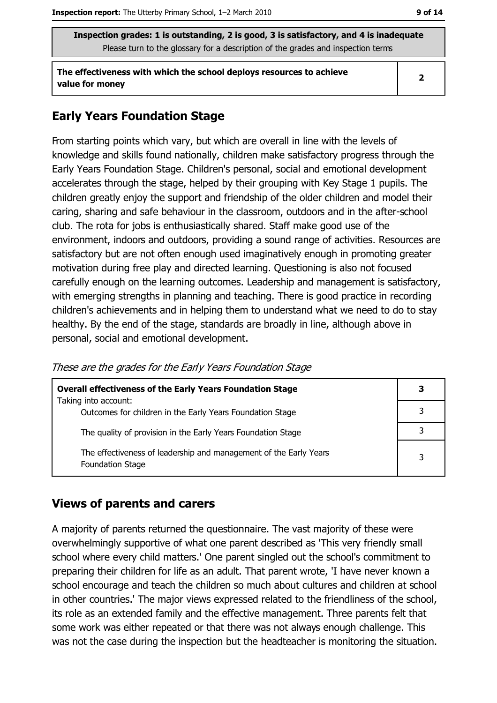The effectiveness with which the school deploys resources to achieve value for money

#### $\overline{2}$

#### **Early Years Foundation Stage**

From starting points which vary, but which are overall in line with the levels of knowledge and skills found nationally, children make satisfactory progress through the Early Years Foundation Stage. Children's personal, social and emotional development accelerates through the stage, helped by their grouping with Key Stage 1 pupils. The children greatly enjoy the support and friendship of the older children and model their caring, sharing and safe behaviour in the classroom, outdoors and in the after-school club. The rota for jobs is enthusiastically shared. Staff make good use of the environment, indoors and outdoors, providing a sound range of activities. Resources are satisfactory but are not often enough used imaginatively enough in promoting greater motivation during free play and directed learning. Questioning is also not focused carefully enough on the learning outcomes. Leadership and management is satisfactory, with emerging strengths in planning and teaching. There is good practice in recording children's achievements and in helping them to understand what we need to do to stay healthy. By the end of the stage, standards are broadly in line, although above in personal, social and emotional development.

| These are the grades for the Early Years Foundation Stage |  |  |  |
|-----------------------------------------------------------|--|--|--|
|                                                           |  |  |  |

| <b>Overall effectiveness of the Early Years Foundation Stage</b>                             | З |
|----------------------------------------------------------------------------------------------|---|
| Taking into account:<br>Outcomes for children in the Early Years Foundation Stage            |   |
| The quality of provision in the Early Years Foundation Stage                                 |   |
| The effectiveness of leadership and management of the Early Years<br><b>Foundation Stage</b> | 3 |

#### **Views of parents and carers**

A majority of parents returned the questionnaire. The vast majority of these were overwhelmingly supportive of what one parent described as 'This very friendly small school where every child matters.' One parent singled out the school's commitment to preparing their children for life as an adult. That parent wrote, 'I have never known a school encourage and teach the children so much about cultures and children at school in other countries.' The major views expressed related to the friendliness of the school, its role as an extended family and the effective management. Three parents felt that some work was either repeated or that there was not always enough challenge. This was not the case during the inspection but the headteacher is monitoring the situation.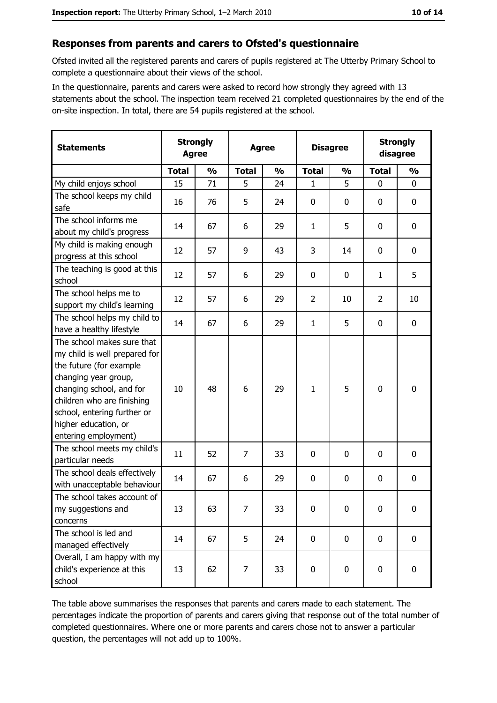#### Responses from parents and carers to Ofsted's questionnaire

Ofsted invited all the registered parents and carers of pupils registered at The Utterby Primary School to complete a questionnaire about their views of the school.

In the questionnaire, parents and carers were asked to record how strongly they agreed with 13 statements about the school. The inspection team received 21 completed questionnaires by the end of the on-site inspection. In total, there are 54 pupils registered at the school.

| <b>Statements</b>                                                                                                                                                                                                                                       | <b>Agree</b> | <b>Strongly</b> | <b>Agree</b>   |               | <b>Disagree</b> |               | <b>Strongly</b><br>disagree |               |
|---------------------------------------------------------------------------------------------------------------------------------------------------------------------------------------------------------------------------------------------------------|--------------|-----------------|----------------|---------------|-----------------|---------------|-----------------------------|---------------|
|                                                                                                                                                                                                                                                         | <b>Total</b> | $\frac{0}{0}$   | <b>Total</b>   | $\frac{0}{0}$ | <b>Total</b>    | $\frac{0}{0}$ | <b>Total</b>                | $\frac{0}{0}$ |
| My child enjoys school                                                                                                                                                                                                                                  | 15           | 71              | 5              | 24            | 1               | 5             | $\mathbf{0}$                | 0             |
| The school keeps my child<br>safe                                                                                                                                                                                                                       | 16           | 76              | 5              | 24            | 0               | 0             | $\mathbf{0}$                | 0             |
| The school informs me<br>about my child's progress                                                                                                                                                                                                      | 14           | 67              | 6              | 29            | $\mathbf{1}$    | 5             | $\mathbf 0$                 | 0             |
| My child is making enough<br>progress at this school                                                                                                                                                                                                    | 12           | 57              | 9              | 43            | 3               | 14            | $\mathbf 0$                 | 0             |
| The teaching is good at this<br>school                                                                                                                                                                                                                  | 12           | 57              | 6              | 29            | $\mathbf 0$     | 0             | 1                           | 5             |
| The school helps me to<br>support my child's learning                                                                                                                                                                                                   | 12           | 57              | 6              | 29            | $\overline{2}$  | 10            | $\overline{2}$              | 10            |
| The school helps my child to<br>have a healthy lifestyle                                                                                                                                                                                                | 14           | 67              | 6              | 29            | $\mathbf{1}$    | 5             | 0                           | 0             |
| The school makes sure that<br>my child is well prepared for<br>the future (for example<br>changing year group,<br>changing school, and for<br>children who are finishing<br>school, entering further or<br>higher education, or<br>entering employment) | 10           | 48              | 6              | 29            | $\mathbf{1}$    | 5             | $\mathbf 0$                 | 0             |
| The school meets my child's<br>particular needs                                                                                                                                                                                                         | 11           | 52              | $\overline{7}$ | 33            | $\mathbf 0$     | 0             | 0                           | 0             |
| The school deals effectively<br>with unacceptable behaviour                                                                                                                                                                                             | 14           | 67              | 6              | 29            | $\mathbf 0$     | 0             | 0                           | 0             |
| The school takes account of<br>my suggestions and<br>concerns                                                                                                                                                                                           | 13           | 63              | 7              | 33            | 0               | 0             | 0                           | 0             |
| The school is led and<br>managed effectively                                                                                                                                                                                                            | 14           | 67              | 5              | 24            | $\mathbf 0$     | 0             | $\bf{0}$                    | 0             |
| Overall, I am happy with my<br>child's experience at this<br>school                                                                                                                                                                                     | 13           | 62              | 7              | 33            | $\pmb{0}$       | 0             | $\mathbf 0$                 | 0             |

The table above summarises the responses that parents and carers made to each statement. The percentages indicate the proportion of parents and carers giving that response out of the total number of completed questionnaires. Where one or more parents and carers chose not to answer a particular question, the percentages will not add up to 100%.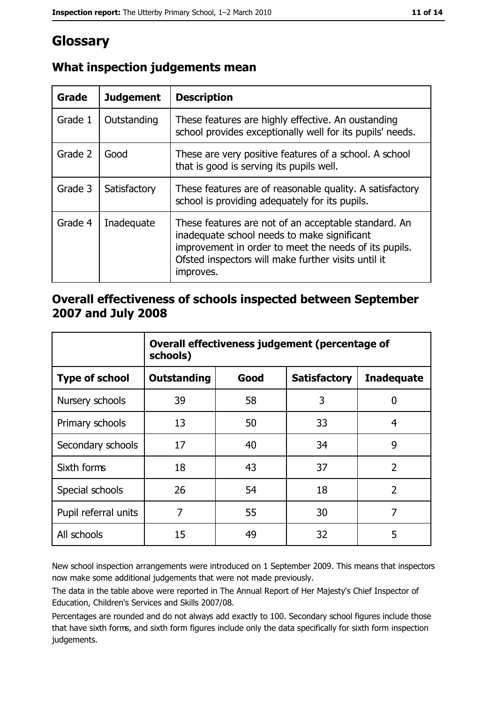### Glossary

| Grade   | <b>Judgement</b> | <b>Description</b>                                                                                                                                                                                                               |
|---------|------------------|----------------------------------------------------------------------------------------------------------------------------------------------------------------------------------------------------------------------------------|
| Grade 1 | Outstanding      | These features are highly effective. An oustanding<br>school provides exceptionally well for its pupils' needs.                                                                                                                  |
| Grade 2 | Good             | These are very positive features of a school. A school<br>that is good is serving its pupils well.                                                                                                                               |
| Grade 3 | Satisfactory     | These features are of reasonable quality. A satisfactory<br>school is providing adequately for its pupils.                                                                                                                       |
| Grade 4 | Inadequate       | These features are not of an acceptable standard. An<br>inadequate school needs to make significant<br>improvement in order to meet the needs of its pupils.<br>Ofsted inspectors will make further visits until it<br>improves. |

### What inspection judgements mean

#### Overall effectiveness of schools inspected between September 2007 and July 2008

|                       | Overall effectiveness judgement (percentage of<br>schools) |      |                     |                   |
|-----------------------|------------------------------------------------------------|------|---------------------|-------------------|
| <b>Type of school</b> | Outstanding                                                | Good | <b>Satisfactory</b> | <b>Inadequate</b> |
| Nursery schools       | 39                                                         | 58   | 3                   | 0                 |
| Primary schools       | 13                                                         | 50   | 33                  | 4                 |
| Secondary schools     | 17                                                         | 40   | 34                  | 9                 |
| Sixth forms           | 18                                                         | 43   | 37                  | $\overline{2}$    |
| Special schools       | 26                                                         | 54   | 18                  | $\overline{2}$    |
| Pupil referral units  | 7                                                          | 55   | 30                  | 7                 |
| All schools           | 15                                                         | 49   | 32                  | 5                 |

New school inspection arrangements were introduced on 1 September 2009. This means that inspectors now make some additional judgements that were not made previously.

The data in the table above were reported in The Annual Report of Her Majesty's Chief Inspector of Education, Children's Services and Skills 2007/08.

Percentages are rounded and do not always add exactly to 100. Secondary school figures include those that have sixth forms, and sixth form figures include only the data specifically for sixth form inspection judgements.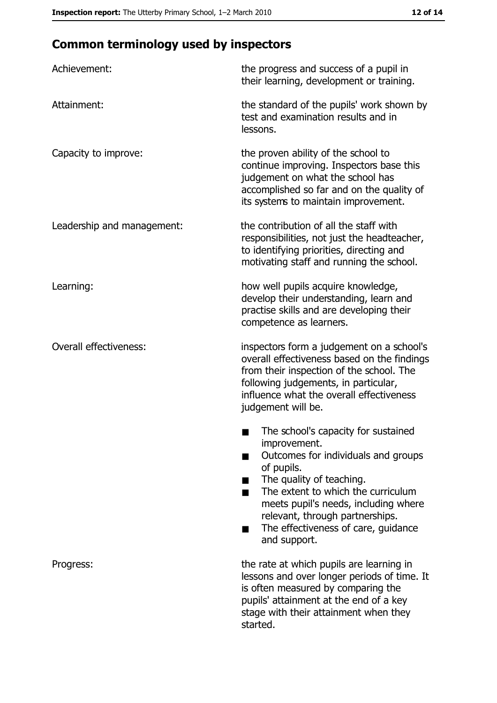### **Common terminology used by inspectors**

| Achievement:                  | the progress and success of a pupil in<br>their learning, development or training.                                                                                                                                                                                                                           |  |  |
|-------------------------------|--------------------------------------------------------------------------------------------------------------------------------------------------------------------------------------------------------------------------------------------------------------------------------------------------------------|--|--|
| Attainment:                   | the standard of the pupils' work shown by<br>test and examination results and in<br>lessons.                                                                                                                                                                                                                 |  |  |
| Capacity to improve:          | the proven ability of the school to<br>continue improving. Inspectors base this<br>judgement on what the school has<br>accomplished so far and on the quality of<br>its systems to maintain improvement.                                                                                                     |  |  |
| Leadership and management:    | the contribution of all the staff with<br>responsibilities, not just the headteacher,<br>to identifying priorities, directing and<br>motivating staff and running the school.                                                                                                                                |  |  |
| Learning:                     | how well pupils acquire knowledge,<br>develop their understanding, learn and<br>practise skills and are developing their<br>competence as learners.                                                                                                                                                          |  |  |
| <b>Overall effectiveness:</b> | inspectors form a judgement on a school's<br>overall effectiveness based on the findings<br>from their inspection of the school. The<br>following judgements, in particular,<br>influence what the overall effectiveness<br>judgement will be.                                                               |  |  |
|                               | The school's capacity for sustained<br>improvement.<br>Outcomes for individuals and groups<br>of pupils.<br>The quality of teaching.<br>The extent to which the curriculum<br>meets pupil's needs, including where<br>relevant, through partnerships.<br>The effectiveness of care, guidance<br>and support. |  |  |
| Progress:                     | the rate at which pupils are learning in<br>lessons and over longer periods of time. It<br>is often measured by comparing the<br>pupils' attainment at the end of a key<br>stage with their attainment when they<br>started.                                                                                 |  |  |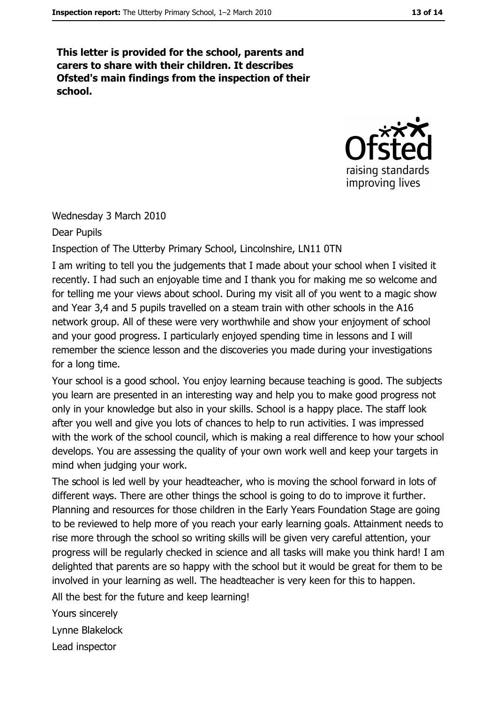This letter is provided for the school, parents and carers to share with their children. It describes Ofsted's main findings from the inspection of their school.



Wednesday 3 March 2010

Dear Pupils

Inspection of The Utterby Primary School, Lincolnshire, LN11 0TN

I am writing to tell you the judgements that I made about your school when I visited it recently. I had such an enjoyable time and I thank you for making me so welcome and for telling me your views about school. During my visit all of you went to a magic show and Year 3,4 and 5 pupils travelled on a steam train with other schools in the A16 network group. All of these were very worthwhile and show your enjoyment of school and your good progress. I particularly enjoyed spending time in lessons and I will remember the science lesson and the discoveries you made during your investigations for a long time.

Your school is a good school. You enjoy learning because teaching is good. The subjects you learn are presented in an interesting way and help you to make good progress not only in your knowledge but also in your skills. School is a happy place. The staff look after you well and give you lots of chances to help to run activities. I was impressed with the work of the school council, which is making a real difference to how your school develops. You are assessing the quality of your own work well and keep your targets in mind when judging your work.

The school is led well by your headteacher, who is moving the school forward in lots of different ways. There are other things the school is going to do to improve it further. Planning and resources for those children in the Early Years Foundation Stage are going to be reviewed to help more of you reach your early learning goals. Attainment needs to rise more through the school so writing skills will be given very careful attention, your progress will be regularly checked in science and all tasks will make you think hard! I am delighted that parents are so happy with the school but it would be great for them to be involved in your learning as well. The headteacher is very keen for this to happen.

All the best for the future and keep learning!

Yours sincerely

Lynne Blakelock

Lead inspector